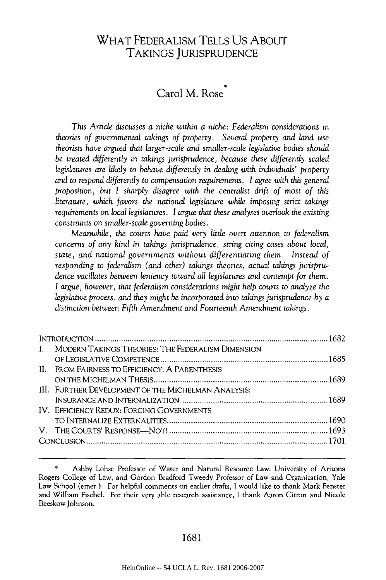# WHAT FEDERALISM TELLS US ABOUT TAKINGS JURISPRUDENCE

# Carol M. Rose

*This Article discusses a niche within a niche: Federalism considerations in theories of governmental takings of property.* Several *property and land use theorists have argued that larger-scale and smaller-scale legislative bodies should be treated differently in takings jurisprudence, because these differently scaled legislatures are likely to behave differently in dealing with individuals' property and to respond differently to compensation requirements.* I *agree with this general proposition, but I sharply disagree with the centralist drift of most of this literature, which favors the national legislature while imposing strict takings requirements on local legislatures. I argue that these analyses overlook the existing constraints on smaller-scale governing bodies.*

*Meanwhile, the courts have paid very little overt attention to federalism concerns of any kind in takings jurisprudence, string citing cases about local, state, and national governments without differentiating them. Instead of responding to federalism (and other) takings theories, actual takings jurisprudence vacillates between leniency toward all legislatures and contempt for them. I argue, however, that federalism considerations might help courts to analyze the legislative process, and they might be incorporated into takings jurisprudence by a distinction between Fifth Amendment and Fourteenth Amendment takings.*

| MODERN TAKINGS THEORIES: THE FEDERALISM DIMENSION<br>$\mathbf{I}$ |  |
|-------------------------------------------------------------------|--|
|                                                                   |  |
| II. FROM FAIRNESS TO EFFICIENCY: A PARENTHESIS                    |  |
|                                                                   |  |
| <b>III. FURTHER DEVELOPMENT OF THE MICHELMAN ANALYSIS:</b>        |  |
|                                                                   |  |
| IV. EFFICIENCY REDUX: FORCING GOVERNMENTS                         |  |
|                                                                   |  |
|                                                                   |  |
|                                                                   |  |
|                                                                   |  |

#### 1681

Ashby Lohse Professor of Water and Natural Resource Law, University of Arizona Rogers College of Law, and Gordon Bradford Tweedy Professor of Law and Organization, Yale Law School (emer.). For helpful comments on earlier drafts, I would like to thank Mark Fenster and William Fischel. For their very able research assistance, I thank Aaron Citron and Nicole Beeskow Johnson.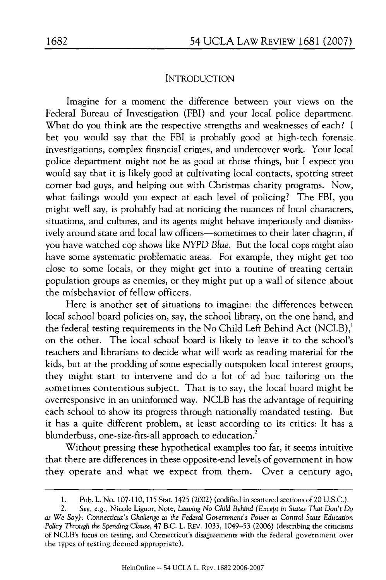#### INTRODUCTION

Imagine for a moment the difference between your views on the Federal Bureau of Investigation (FBI) and your local police department. What do you think are the respective strengths and weaknesses of each? I bet you would say that the FBI is probably good at high-tech forensic investigations, complex financial crimes, and undercover work. Your local police department might not be as good at those things, but I expect you would say that it is likely good at cultivating local contacts, spotting street comer bad guys, and helping out with Christmas charity programs. Now, what failings would you expect at each level of policing? The FBI, you might well say, is probably bad at noticing the nuances of local characters, situations, and cultures, and its agents might behave imperiously and dismissively around state and local law officers-sometimes to their later chagrin, if you have watched cop shows like *NYPD Blue.* But the local cops might also have some systematic problematic areas. For example, they might get too close to some locals, or they might get into a routine of treating certain population groups as enemies, or they might put up a wall of silence about the misbehavior of fellow officers.

Here is another set of situations to imagine: the differences between local school board policies on, say, the school library, on the one hand, and the federal testing requirements in the No Child Left Behind Act (NCLB),' on the other. The local school board is likely to leave it to the school's teachers and librarians to decide what will work as reading material for the kids, but at the prodding of some especially outspoken local interest groups, they might start to intervene and do a lot of ad hoc tailoring on the sometimes contentious subject. That is to say, the local board might be overresponsive in an uninformed way. NCLB has the advantage of requiring each school to show its progress through nationally mandated testing. But it has a quite different problem, at least according to its critics: It has a blunderbuss, one-size-fits-all approach to education.<sup>2</sup>

Without pressing these hypothetical examples too far, it seems intuitive that there are differences in these opposite-end levels of government in how they operate and what we expect from them. Over a century ago,

<sup>1.</sup> Pub. L. No. 107-110, 115 Stat. 1425 (2002) (codified in scattered sections of 20 U.S.C.).

<sup>2.</sup> *See, e.g.,* Nicole Liguor, Note, *Leaving No Child Behind* (Except *in States That Don't Do as We Say): Connecticut's Challenge to the Federal Government's Power* to *Control State Education Policy Through the Spending Clause,* 47 B.C. L. REV. 1033, 1049-53 (2006) (describing the criticisms of NCLB's focus on testing, and Connecticut's disagreements with the federal government over the types of testing deemed appropriate).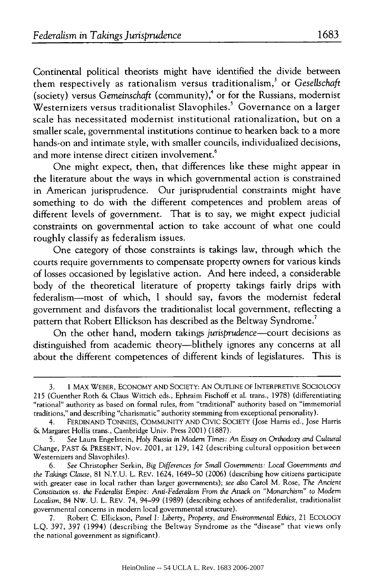Continental political theorists might have identified the divide between them respectively as rationalism versus traditionalism,' or *Gesellschaft* (society) versus *Gemeinschaft* (community),4 or for the Russians, modernist Westernizers versus traditionalist Slavophiles.<sup>5</sup> Governance on a larger scale has necessitated modernist institutional rationalization, but on a smaller scale, governmental institutions continue to hearken back to a more hands-on and intimate style, with smaller councils, individualized decisions, and more intense direct citizen involvement.<sup>6</sup>

One might expect, then, that differences like these might appear in the literature about the ways in which governmental action is constrained in American jurisprudence. Our jurisprudential constraints might have something to do with the different competences and problem areas of different levels of government. That is to say, we might expect judicial constraints on governmental action to take account of what one could roughly classify as federalism issues.

One category of those constraints is takings law, through which the courts require governments to compensate property owners for various kinds of losses occasioned by legislative action. And here indeed, a considerable body of the theoretical literature of property takings fairly drips with federalism-most of which, I should say, favors the modernist federal government and disfavors the traditionalist local government, reflecting a pattern that Robert Ellickson has described as the Beltway Syndrome.'

On the other hand, modem takings *jurisprudence-court* decisions as distinguished from academic theory-blithely ignores any concerns at all about the different competences of different kinds of legislatures. This is

<sup>3. 1</sup> MAX WEBER, ECONOMY AND SOCIETY: AN OUTLINE OF INTERPRETIVE SOCIOLOGY 215 (Guenther Roth & Claus Wittich eds., Ephraim Fischoff et al. trans., 1978) (differentiating<br>"rational" authority as based on formal rules, from "traditional" authority based on "immemorial traditions," and describing "charismatic" authority stemming from exceptional personality).

<sup>4.</sup> FERDINAND TONNIES, COMMUNITY AND CIVIC SOCIETY (Jose Harris ed., Jose Harris & Margaret Hollis trans., Cambridge Univ. Press 2001) (1887).

<sup>5.</sup> *See* Laura Engelstein, Holy Russia in Modern *Times: An Essay* on Orthodoxy and *Cultural Change,* PAST & PRESENT, Nov. 2001, at 129, 142 (describing cultural opposition between Westernizers and Slavophiles).

<sup>6.</sup> *See* Christopher Serkin, Big *Differences for* Small Governments: *Local Governments and the Takings Clause,* 81 N.Y.U. L. REV. 1624, 1649-50 (2006) (describing how citizens participate with greater ease in local rather than larger governments); *see also* Carol M. Rose, *The* Ancient Constitution *vs. the Federalist Empire: Anti-Federalism From the Attack on "Monarchism"* to Modern *Localism,* 84 Nw. U. L. REV. 74, 94-99 (1989) (describing echoes of antifederalist, traditionalist governmental concerns in modern local governmental structure).

<sup>7.</sup> Robert C. Ellickson, *Panel I: Liberty,* Property, and Environmental Ethics, 21 ECOLOGY L.Q. 397, 397 (1994) (describing the Beltway Syndrome as the "disease" that views only the national government as significant).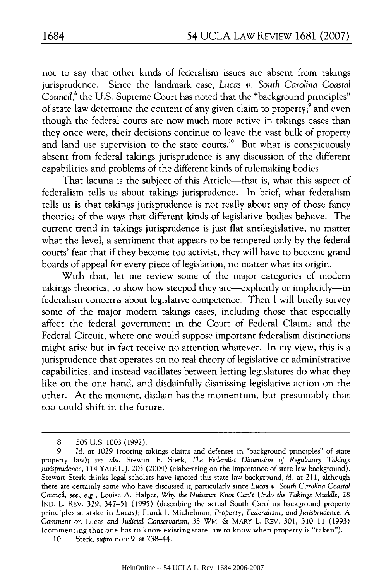not to say that other kinds of federalism issues are absent from takings jurisprudence. Since the landmark case, *Lucas v. South Carolina Coastal* Council,<sup>8</sup> the U.S. Supreme Court has noted that the "background principles" of state law determine the content of any given claim to property;<sup>9</sup> and even though the federal courts are now much more active in takings cases than they once were, their decisions continue to leave the vast bulk of property and land use supervision to the state courts.<sup>10</sup> But what is conspicuously absent from federal takings jurisprudence is any discussion of the different capabilities and problems of the different kinds of rulemaking bodies.

That lacuna is the subject of this Article—that is, what this aspect of federalism tells us about takings jurisprudence. In brief, what federalism tells us is that takings jurisprudence is not really about any of those fancy theories of the ways that different kinds of legislative bodies behave. The current trend in takings jurisprudence is just flat antilegislative, no matter what the level, a sentiment that appears to be tempered only by the federal courts' fear that if they become too activist, they will have to become grand boards of appeal for every piece of legislation, no matter what its origin.

With that, let me review some of the major categories of modem takings theories, to show how steeped they are-explicitly or implicitly-in federalism concerns about legislative competence. Then I will briefly survey some of the major modem takings cases, including those that especially affect the federal government in the Court of Federal Claims and the Federal Circuit, where one would suppose important federalism distinctions might arise but in fact receive no attention whatever. In my view, this is a jurisprudence that operates on no real theory of legislative or administrative capabilities, and instead vacillates between letting legislatures do what they like on the one hand, and disdainfully dismissing legislative action on the other. At the moment, disdain has the momentum, but presumably that too could shift in the future.

<sup>8. 505</sup> U.S. 1003 (1992).

<sup>9.</sup> *Id.* at 1029 (rooting takings claims and defenses in "background principles" of state property law); *see also* Stewart E. Sterk, *The Federalist* Dimension *of Regulatory Takings Jurisprudence,* 114 YALE L.J. 203 (2004) (elaborating on the importance of state law background). Stewart Sterk thinks legal scholars have ignored this state law background, *id.* at 211, although there are certainly some who have discussed it, particularly since *Lucas* v. *South* Carolina Coastal Council, *see, e.g.,* Louise A. Halper, *Why the Nuisance Knot Can't Undo the Takings Muddle,* 28 IND. L. REV. 329, 347-51 (1995) (describing the actual South Carolina background property principles at stake in *Lucas);* Frank I. Michelman, *Property, Federalism, and Jurisprudence: A* Comment on Lucas *and Judicial Conservatism,* 35 WM. & MARY L. REV. 301, 310-11 (1993) (commenting that one has to know existing state law to know when property is "taken").

<sup>10.</sup> Sterk, *supra* note 9, at 238-44.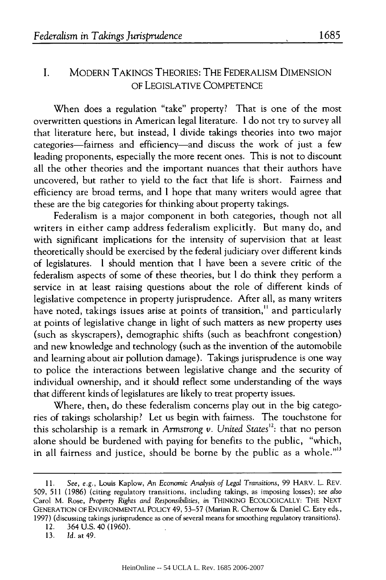#### I. MODERN TAKINGS THEORIES: THE FEDERALISM DIMENSION OF LEGISLATIVE COMPETENCE

When does a regulation "take" property? That is one of the most overwritten questions in American legal literature. I do not try to survey all that literature here, but instead, I divide takings theories into two major categories-fairness and efficiency-and discuss the work of just a few leading proponents, especially the more recent ones. This is not to discount all the other theories and the important nuances that their authors have uncovered, but rather to yield to the fact that life is short. Fairness and efficiency are broad terms, and I hope that many writers would agree that these are the big categories for thinking about property takings.

Federalism is a major component in both categories, though not all writers in either camp address federalism explicitly. But many do, and with significant implications for the intensity of supervision that at least theoretically should be exercised by the federal judiciary over different kinds of legislatures. I should mention that I have been a severe critic of the federalism aspects of some of these theories, but I do think they perform a service in at least raising questions about the role of different kinds of legislative competence in property jurisprudence. After all, as many writers have noted, takings issues arise at points of transition,<sup>11</sup> and particularly at points of legislative change in light of such matters as new property uses (such as skyscrapers), demographic shifts (such as beachfront congestion) and new knowledge and technology (such as the invention of the automobile and learning about air pollution damage). Takings jurisprudence is one way to police the interactions between legislative change and the security of individual ownership, and it should reflect some understanding of the ways that different kinds of legislatures are likely to treat property issues.

Where, then, do these federalism concerns play out in the big categories of takings scholarship? Let us begin with fairness. The touchstone for this scholarship is a remark in *Armstrong v. United States<sup>12</sup>*: that no person alone should be burdened with paying for benefits to the public, "which, in all fairness and justice, should be borne by the public as a whole."'<sup>3</sup>

13. *Id.* at 49.

**<sup>11.</sup>** *See, e.g.,* Louis Kaplow, An Economic *Analysis of Legal Transitions,* 99 HARV. L. REV. 509, 511 (1986) (citing regulatory transitions, including takings, as imposing losses); *see also* Carol M. Rose, *Property Rights and Responsibilities, in* **THINKING ECOLOGICALLY:** THE **NEXT GENERATION** OF ENVIRONMENTAL POLICY 49, 53-57 (Marian R. Chertow & Daniel C. Esty eds., 1997) (discussing takings jurisprudence as one of several means for smoothing regulatory transitions).

<sup>12. 364</sup> U.S. 40 (1960).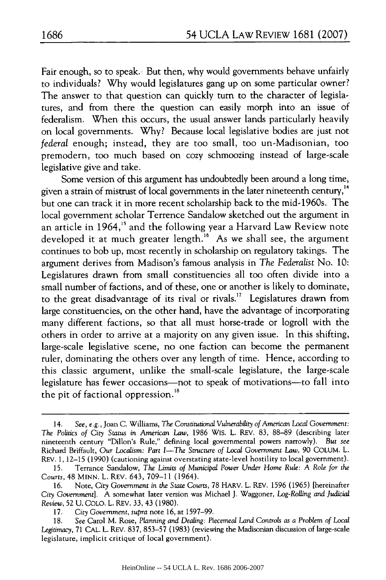Fair enough, so to speak. But then, why would governments behave unfairly to individuals? Why would legislatures gang up on some particular owner? The answer to that question can quickly turn to the character of legislatures, and from there the question can easily morph into an issue of federalism. When this occurs, the usual answer lands particularly heavily on local governments. Why? Because local legislative bodies are just not *federal* enough; instead, they are too small, too un-Madisonian, too premodern, too much based on cozy schmoozing instead of large-scale legislative give and take.

Some version of this argument has undoubtedly been around a long time, given a strain of mistrust of local governments in the later nineteenth century,<sup>14</sup> but one can track it in more recent scholarship back to the mid-1960s. The local government scholar Terrence Sandalow sketched out the argument in an article in 1964,<sup>15</sup> and the following year a Harvard Law Review note developed it at much greater length.<sup>16</sup> As we shall see, the argument continues to bob up, most recently in scholarship on regulatory takings. The argument derives from Madison's famous analysis in *The Federalist* No. 10: Legislatures drawn from small constituencies all too often divide into a small number of factions, and of these, one or another is likely to dominate, to the great disadvantage of its rival or rivals." Legislatures drawn from large constituencies, on the other hand, have the advantage of incorporating many different factions, so that all must horse-trade or logroll with the others in order to arrive at a majority on any given issue. In this shifting, large-scale legislative scene, no one faction can become the permanent ruler, dominating the others over any length of time. Hence, according to this classic argument, unlike the small-scale legislature, the large-scale legislature has fewer occasions-not to speak of motivations-to fall into the pit of factional oppression.<sup>18</sup>

<sup>14.</sup> *See, e.g.,* Joan C. Williams, *The Constitutional Vulnerability of American Local Government: The Politics of City Status in American Law,* 1986 WIS. L. REV. 83, 88-89 (describing later nineteenth century "Dillon's Rule," defining local governmental powers narrowly). *But see* Richard Briffault, Our *Localism: Part I-The Structure of Local Government Law,* 90 COLUM. L. REV. 1, 12-15 (1990) (cautioning against overstating state-level hostility to local government).

<sup>15.</sup> Terrance Sandalow, *The Limits of Municipal Power Under Home Rule: A Role for the Courts,* 48 MINN. L. REV. 643, 709-11 (1964).

<sup>16.</sup> Note, City *Government in the State Courts,* 78 HARV. L. REV. 1596 (1965) [hereinafter City Government]. A somewhat later version was Michael **J.** Waggoner, *Log-Rolling and Judicial Review,* 52 U. COLO. L. REV. 33, 43 (1980).

<sup>17.</sup> City *Government, supra* note 16, at 1597-99.

<sup>18.</sup> *See* Carol M. Rose, *Planning and Dealing: Piecemeal Land Controls as a Problem of Local Legitimacy,* 71 CAL. L. REV. 837, 853-57 (1983) (reviewing the Madisonian discussion of large-scale legislature, implicit critique of local government).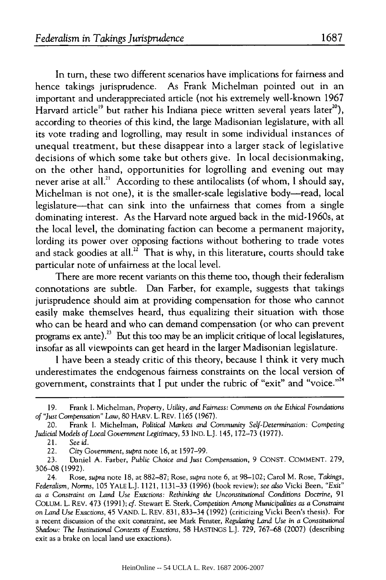In turn, these two different scenarios have implications for fairness and hence takings jurisprudence. As Frank Michelman pointed out in an important and underappreciated article (not his extremely well-known 1967 Harvard article<sup>19</sup> but rather his Indiana piece written several years later<sup>20</sup>), according to theories of this kind, the large Madisonian legislature, with all its vote trading and logrolling, may result in some individual instances of unequal treatment, but these disappear into a larger stack of legislative decisions of which some take but others give. In local decisionmaking, on the other hand, opportunities for logrolling and evening out may never arise at all.<sup>21</sup> According to these antilocalists (of whom, I should say, Michelman is not one), it is the smaller-scale legislative body—read, local legislature-that can sink into the unfairness that comes from a single dominating interest. As the Harvard note argued back in the mid-1960s, at the local level, the dominating faction can become a permanent majority, lording its power over opposing factions without bothering to trade votes and stack goodies at all.<sup>22</sup> That is why, in this literature, courts should take particular note of unfairness at the local level.

There are more recent variants on this theme too, though their federalism connotations are subtle. Dan Farber, for example, suggests that takings jurisprudence should aim at providing compensation for those who cannot easily make themselves heard, thus equalizing their situation with those who can be heard and who can demand compensation (or who can prevent programs  $ex$  ante).<sup>23</sup> But this too may be an implicit critique of local legislatures, insofar as all viewpoints can get heard in the larger Madisonian legislature.

I have been a steady critic of this theory, because I think it very much underestimates the endogenous fairness constraints on the local version of government, constraints that I put under the rubric of "exit" and "voice."<sup>24</sup>

<sup>19.</sup> Frank I. Michelman, *Property, Utility, and Fairness:* Comments on *the Ethical Foundations of "Just Compensation" Law,* 80 HARV. L. REV. 1165 (1967).

<sup>20.</sup> Frank I. Michelman, *Political Markets and* Community *Self-Determination: Competing Judicial Models of Local Government Legitimacy,* 53 IND. L.J. 145, 172-73 (1977).

<sup>21.</sup> *See id.*

<sup>22.</sup> City Government, *supra* note 16, at 1597-99.

<sup>23.</sup> Daniel A. Farber, *Public Choice and Just Compensation,* 9 CONST. COMMENT. 279, 306-08 (1992).

<sup>24.</sup> Rose, *supra* note 18, at 882-87; Rose, *supra* note 6, at 98-102; Carol M. Rose, *Takings, Federalism, Norms,* 105 YALE L.J. 1121, 1131-33 (1996) (book review); *see also* Vicki Been, *"Exit" as a Constraint* on *Land Use Exactions: Rethinking the Unconstitutional Conditions* Doctrine, 91 COLUM. L. REV. 473 (1991); *cf.* Stewart E. Sterk, Competition *Among Municipalities as a Constraint on Land Use Exactions,* 45 VAND. L. REV. 831, 833-34 (1992) (criticizing Vicki Been's thesis). For a recent discussion of the exit constraint, see Mark Fenster, *Regulating Land Use in a Constitutional Shadow: The Institutional Contexts of Exactions,* 58 HASTINGS L.J. 729, 767-68 (2007) (describing exit as a brake on local land use exactions).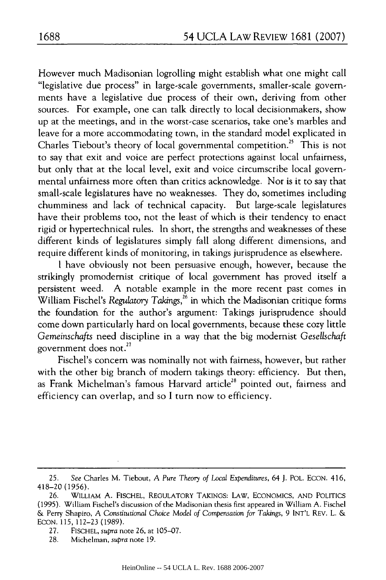However much Madisonian logrolling might establish what one might call "legislative due process" in large-scale governments, smaller-scale governments have a legislative due process of their own, deriving from other sources. For example, one can talk directly to local decisionmakers, show up at the meetings, and in the worst-case scenarios, take one's marbles and leave for a more accommodating town, in the standard model explicated in Charles Tiebout's theory of local governmental competition.<sup>25</sup> This is not to say that exit and voice are perfect protections against local unfairness, but only that at the local level, exit and voice circumscribe local governmental unfairness more often than critics acknowledge. Nor is it to say that small-scale legislatures have no weaknesses. They do, sometimes including chumminess and lack of technical capacity. But large-scale legislatures have their problems too, not the least of which is their tendency to enact rigid or hypertechnical rules. In short, the strengths and weaknesses of these different kinds of legislatures simply fall along different dimensions, and require different kinds of monitoring, in takings jurisprudence as elsewhere.

I have obviously not been persuasive enough, however, because the strikingly promodemist critique of local government has proved itself a persistent weed. A notable example in the more recent past comes in William Fischel's Regulatory *Takings*,<sup>26</sup> in which the Madisonian critique forms the foundation for the author's argument: Takings jurisprudence should come down particularly hard on local governments, because these cozy little *Gemeinschafts* need discipline in a way that the big modernist *Gesellschaft* government does not.<sup>27</sup>

Fischel's concern was nominally not with fairness, however, but rather with the other big branch of modem takings theory: efficiency. But then, as Frank Michelman's famous Harvard article<sup>28</sup> pointed out, fairness and efficiency can overlap, and so I turn now to efficiency.

<sup>25.</sup> *See* Charles M. Tiebout, A *Pure Theory of Local Expenditures,* 64 **J.** POL. ECON. 416, 418-20 (1956).

<sup>26.</sup> WILLIAM A. FISCHEL, REGULATORY TAKINGS: LAW, ECONOMICS, AND POLITICS (1995). William Fischel's discussion of the Madisonian thesis first appeared in William A. Fischel & Perry Shapiro, A *Constitutional Choice Model* of *Compensation for Takings,* 9 INT'L REV. L. & ECON. 115, 112-23 (1989).

<sup>27.</sup> FISCHEL, *supra* note 26, at 105-07.

<sup>28.</sup> Michelman, *supra* note 19.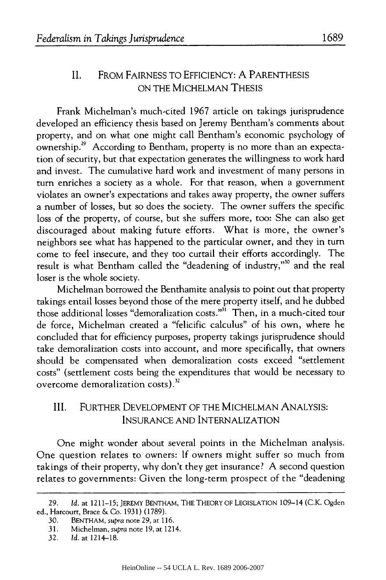### **II.** FROM FAIRNESS TO EFFICIENCY: A PARENTHESIS ON THE MICHELMAN THESIS

Frank Michelman's much-cited 1967 article on takings jurisprudence developed an efficiency thesis based on Jeremy Bentham's comments about property, and on what one might call Bentham's economic psychology of ownership.<sup>29</sup> According to Bentham, property is no more than an expectation of security, but that expectation generates the willingness to work hard and invest. The cumulative hard work and investment of many persons in turn enriches a society as a whole. For that reason, when a government violates an owner's expectations and takes away property, the owner suffers a number of losses, but so does the society. The owner suffers the specific loss of the property, of course, but she suffers more, too: She can also get discouraged about making future efforts. What is more, the owner's neighbors see what has happened to the particular owner, and they in turn come to feel insecure, and they too curtail their efforts accordingly. The result is what Bentham called the "deadening of industry,"" and the real loser is the whole society.

Michelman borrowed the Benthamite analysis to point out that property takings entail losses beyond those of the mere property itself, and he dubbed those additional losses "demoralization costs."<sup>31</sup> Then, in a much-cited tour de force, Michelman created a "felicific calculus" of his own, where he concluded that for efficiency purposes, property takings jurisprudence should take demoralization costs into account, and more specifically, that owners should be compensated when demoralization costs exceed "settlement costs" (settlement costs being the expenditures that would be necessary to overcome demoralization costs).<sup>32</sup>

### III. FURTHER DEVELOPMENT OF THE MICHELMAN ANALYSIS: INSURANCE AND INTERNALIZATION

One might wonder about several points in the Michelman analysis. One question relates to owners: If owners might suffer so much from takings of their property, why don't they get insurance? A second question relates to governments: Given the long-term prospect of the "deadening

<sup>29.</sup> *Id.* at 1211-15; JEREMY BENTHAM, THE THEORY OF LEGISLATION 109-14 (C.K. Ogden ed., Harcourt, Brace & Co. 1931) (1789).

<sup>30.</sup> BENTHAM, *supra* note 29, at 116.

<sup>31.</sup> Michelman, *supra* note 19, at 1214.

<sup>32.</sup> *Id.* at 1214-18.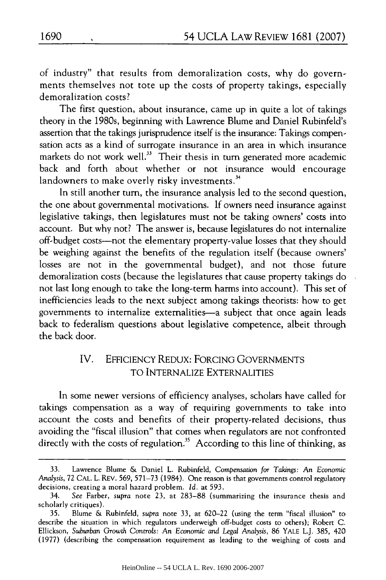of industry" that results from demoralization costs, why do governments themselves not tote up the costs of property takings, especially demoralization costs?

The first question, about insurance, came up in quite a lot of takings theory in the 1980s, beginning with Lawrence Blume and Daniel Rubinfeld's assertion that the takings jurisprudence itself is the insurance: Takings compensation acts as a kind of surrogate insurance in an area in which insurance markets do not work well.<sup>33</sup> Their thesis in turn generated more academic back and forth about whether or not insurance would encourage landowners to make overly risky investments.<sup>34</sup>

In still another turn, the insurance analysis led to the second question, the one about governmental motivations. If owners need insurance against legislative takings, then legislatures must not be taking owners' costs into account. But why not? The answer is, because legislatures do not internalize off-budget costs-not the elementary property-value losses that they should be weighing against the benefits of the regulation itself (because owners' losses are not in the governmental budget), and not those future demoralization costs (because the legislatures that cause property takings do not last long enough to take the long-term harms into account). This set of inefficiencies leads to the next subject among takings theorists: how to get governments to internalize externalities—a subject that once again leads back to federalism questions about legislative competence, albeit through the back door.

## IV. EFFICIENCY REDUX: FORCING GOVERNMENTS TO INTERNALIZE EXTERNALITIES

In some newer versions of efficiency analyses, scholars have called for takings compensation as a way of requiring governments to take into account the costs and benefits of their property-related decisions, thus avoiding the "fiscal illusion" that comes when regulators are not confronted directly with the costs of regulation.<sup>35</sup> According to this line of thinking, as

<sup>33.</sup> Lawrence Blume & Daniel L. Rubinfeld, Compensation *for Takings:* An *Economic* Analysis, 72 CAL. L. REV. 569, 571-73 (1984). One reason is that governments control regulatory decisions, creating a moral hazard problem. *Id.* at 593.

<sup>34.</sup> *See* Farber, *supra* note 23, at 283-88 (summarizing the insurance thesis and scholarly critiques).

<sup>35.</sup> Blume & Rubinfeld, supra note 33, at 620-22 (using the term "fiscal illusion" to describe the situation in which regulators underweigh off-budget costs to others); Robert C. Ellickson, Suburban *Growth Controls:* An Economic *and Legal Analysis,* 86 YALE L.J. 385, 420 (1977) (describing the compensation requirement as leading to the weighing of costs and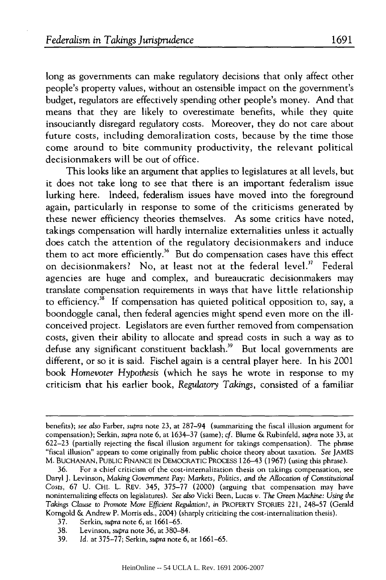long as governments can make regulatory decisions that only affect other people's property values, without an ostensible impact on the government's budget, regulators are effectively spending other people's money. And that means that they are likely to overestimate benefits, while they quite insouciantly disregard regulatory costs. Moreover, they do not care about future costs, including demoralization costs, because by the time those come around to bite community productivity, the relevant political decisionmakers will be out of office.

This looks like an argument that applies to legislatures at all levels, but it does not take long to see that there is an important federalism issue lurking here. Indeed, federalism issues have moved into the foreground again, particularly in response to some of the criticisms generated by these newer efficiency theories themselves. As some critics have noted, takings compensation will hardly internalize externalities unless it actually does catch the attention of the regulatory decisionmakers and induce them to act more efficiently.<sup>36</sup> But do compensation cases have this effect on decisionmakers? No, at least not at the federal level.<sup>37</sup> Federal agencies are huge and complex, and bureaucratic decisionmakers may translate compensation requirements in ways that have little relationship to efficiency.<sup>38</sup> If compensation has quieted political opposition to, say, a boondoggle canal, then federal agencies might spend even more on the illconceived project. Legislators are even further removed from compensation costs, given their ability to allocate and spread costs in such a way as to defuse any significant constituent backlash.<sup>39</sup> But local governments are different, or so it is said. Fischel again is a central player here. In his 2001 book Homevoter *Hypothesis* (which he says he wrote in response to my criticism that his earlier book, *Regulatory Takings,* consisted of a familiar

37. Serkin, *supra* note 6, at 1661-65.

39. Id. at 375-77; Serkin, *supra* note 6, at 1661-65.

benefits); *see also* Farber, *supra* note 23, at 287-94 (summarizing the fiscal illusion argument for compensation); Serkin, *supra* note 6, at 1634-37 (same); *cf.* Blume & Rubinfeld, *supra* note 33, at 622-23 (partially rejecting the fiscal illusion argument for takings compensation). The phrase "fiscal illusion" appears to come originally from public choice theory about taxation. *See* JAMES M. BUCHANAN, PUBLIC FINANCE IN DEMOCRATIC PROCESS 126-43 (1967) (using this phrase).

<sup>36.</sup> For a chief criticism of the cost-internalization thesis on takings compensation, see Daryl **J.** Levinson, Making Government *Pay: Markets, Politics, and the* Allocation of Constitutional Costs, 67 U. CHI. L. REV. 345, 375-77 (2000) (arguing that compensation may have noninternalizing effects on legislatures). *See also* Vicki Been, Lucas *v. The* Green *Machine: Using the Takings Clause* to Promote *More* Efficient *Regulation?,* in PROPERTY STORIES 221, 248-57 (Gerald Korngold & Andrew P. Morris eds., 2004) (sharply criticizing the cost-internalization thesis).

<sup>38.</sup> Levinson, *supra* note 36, at 380-84.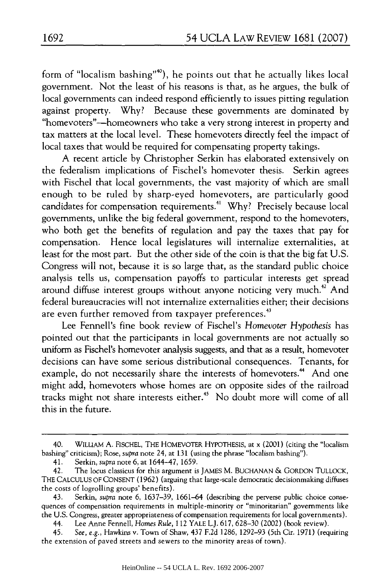form of "localism bashing"'), he points out that he actually likes local government. Not the least of his reasons is that, as he argues, the bulk of local governments can indeed respond efficiently to issues pitting regulation against property. Why? Because these governments are dominated by "homevoters"-homeowners who take a very strong interest in property and tax matters at the local level. These homevoters directly feel the impact of local taxes that would be required for compensating property takings.

A recent article by Christopher Serkin has elaborated extensively on the federalism implications of Fischel's homevoter thesis. Serkin agrees with Fischel that local governments, the vast majority of which are small enough to be ruled by sharp-eyed homevoters, are particularly good candidates for compensation requirements.<sup>41</sup> Why? Precisely because local governments, unlike the big federal government, respond to the homevoters, who both get the benefits of regulation and pay the taxes that pay for compensation. Hence local legislatures will internalize externalities, at least for the most part. But the other side of the coin is that the big fat U.S. Congress will not, because it is so large that, as the standard public choice analysis tells us, compensation payoffs to particular interests get spread around diffuse interest groups without anyone noticing very much.<sup>42</sup> And federal bureaucracies will not internalize externalities either; their decisions are even further removed from taxpayer preferences.<sup>43</sup>

Lee Fennell's fine book review of Fischel's *Homevoter Hypothesis* has pointed out that the participants in local governments are not actually so uniform as Fischel's homevoter analysis suggests, and that as a result, homevoter decisions can have some serious distributional consequences. Tenants, for example, do not necessarily share the interests of homevoters.<sup>44</sup> And one might add, homevoters whose homes are on opposite sides of the railroad tracks might not share interests either." No doubt more will come of all this in the future.

<sup>40.</sup> WILLIAM A. FISCHEL, THE HOMEVOTER HYPOTHESIS, at x (2001) (citing the "localism bashing" criticism); Rose, *supra* note 24, at 131 (using the phrase "localism bashing").

<sup>41.</sup> Serkin, *supra* note 6, at 1644-47, 1659.

<sup>42.</sup> The locus classicus for this argument is JAMES M. BUCHANAN & GORDON TULLOCK, THE CALCULUS OF CONSENT (1962) (arguing that large-scale democratic decisionmaking diffuses the costs of logrolling groups' benefits).

<sup>43.</sup> Serkin, *supra* note 6, 1637-39, 1661-64 (describing the perverse public choice consequences of compensation requirements in multiple-minority or "minoritarian" governments like the U.S. Congress, greater appropriateness of compensation requirements for local governments).

<sup>44.</sup> Lee Anne Fennell, *Homes Rule,* 112 YALE L.J. 617, 628-30 (2002) (book review).

<sup>45.</sup> *See, e.g.,* Hawkins v. Town of Shaw, 437 F.2d 1286, 1292-93 (5th Cir. 1971) (requiring the extension of paved streets and sewers to the minority areas of town).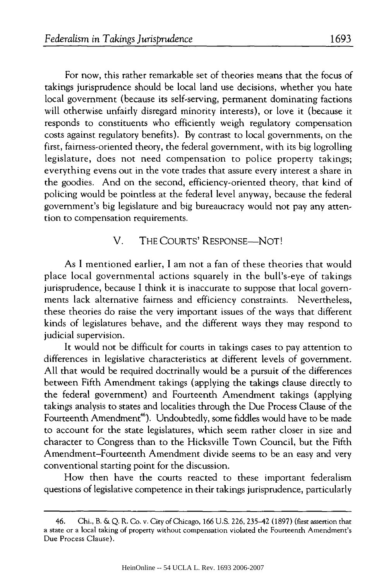For now, this rather remarkable set of theories means that the focus of takings jurisprudence should be local land use decisions, whether you hate local government (because its self-serving, permanent dominating factions will otherwise unfairly disregard minority interests), or love it (because it responds to constituents who efficiently weigh regulatory compensation costs against regulatory benefits). By contrast to local governments, on the first, fairness-oriented theory, the federal government, with its big logrolling legislature, does not need compensation to police property takings; everything evens out in the vote trades that assure every interest a share in the goodies. And on the second, efficiency-oriented theory, that kind of policing would be pointless at the federal level anyway, because the federal government's big legislature and big bureaucracy would not pay any attention to compensation requirements.

#### V. THE COURTS' RESPONSE—NOT!

As I mentioned earlier, I am not a fan of these theories that would place local governmental actions squarely in the bull's-eye of takings jurisprudence, because I think it is inaccurate to suppose that local governments lack alternative fairness and efficiency constraints. Nevertheless, these theories do raise the very important issues of the ways that different kinds of legislatures behave, and the different ways they may respond to judicial supervision.

It would not be difficult for courts in takings cases to pay attention to differences in legislative characteristics at different levels of government. All that would be required doctrinally would be a pursuit of the differences between Fifth Amendment takings (applying the takings clause directly to the federal government) and Fourteenth Amendment takings (applying takings analysis to states and localities through the Due Process Clause of the Fourteenth Amendment<sup>46</sup>). Undoubtedly, some fiddles would have to be made to account for the state legislatures, which seem rather closer in size and character to Congress than to the Hicksville Town Council, but the Fifth Amendment-Fourteenth Amendment divide seems to be an easy and very conventional starting point for the discussion.

How then have the courts reacted to these important federalism questions of legislative competence in their takings jurisprudence, particularly

<sup>46.</sup> Chi., B. & Q. R. Co. v. City of Chicago, 166 U.S. 226, 235-42 (1897) (first assertion that a state or a local taking of property without compensation violated the Fourteenth Amendment's Due Process Clause).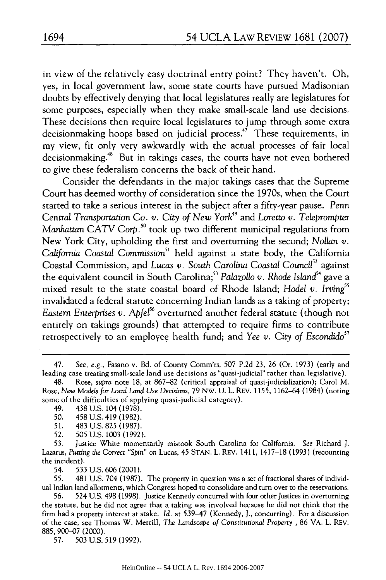in view of the relatively easy doctrinal entry point? They haven't. Oh, yes, in local government law, some state courts have pursued Madisonian doubts by effectively denying that local legislatures really are legislatures for some purposes, especially when they make small-scale land use decisions. These decisions then require local legislatures to jump through some extra decisionmaking hoops based on judicial process." These requirements, in my view, fit only very awkwardly with the actual processes of fair local decisionmaking.<sup>48</sup> But in takings cases, the courts have not even bothered to give these federalism concerns the back of their hand.

Consider the defendants in the major takings cases that the Supreme Court has deemed worthy of consideration since the 1970s, when the Court started to take a serious interest in the subject after a fifty-year pause. Penn *Central Transportation Co. v. City of New York<sup>49</sup> and Loretto v. Teleprompter Manhattan CATV Corp.<sup>50</sup>* took up two different municipal regulations from New York City, upholding the first and overturning the second; *Nollan v. California Coastal Commission"1* held against a state body, the California Coastal Commission, and *Lucas v. South Carolina* Coastal *Council2* against the equivalent council in South Carolina;<sup>53</sup> Palazollo v. Rhode Island<sup>54</sup> gave a mixed result to the state coastal board of Rhode Island; *Hodel v. Irving"* invalidated a federal statute concerning Indian lands as a taking of property; *Eastern Enterprises v. Apfel<sup>56</sup>* overturned another federal statute (though not entirely on takings grounds) that attempted to require firms to contribute retrospectively to an employee health fund; and *Yee v. City of Escondido"2*

54. 533 U.S. 606 (2001).

55. 481 U.S. 704 (1987). The property in question was a set of fractional shares of individual Indian land allotments, which Congress hoped to consolidate and turn over to the reservations.

56. 524 U.S. 498 (1998). Justice Kennedy concurred with four other Justices in overturning the statute, but he did not agree that a taking was involved because he did not think that the firm had a property interest at stake. *Id.* at 539-47 (Kennedy, J., concurring). For a discussion of the case, see Thomas W. Merrill, *The Landscape* of Constitutional *Property* , 86 VA. L. REv. 885, 900-07 (2000).

57. 503 U.S. 519 (1992).

<sup>47.</sup> *See,* e.g., Fasano v. Bd. of County Comm'rs, 507 P.2d 23, 26 (Or. 1973) (early and leading case treating small-scale land use decisions as "quasi-judicial" rather than legislative).

<sup>48.</sup> Rose, *supra* note 18, at 867-82 (critical appraisal of quasi-judicialization); Carol M. Rose, *New Models for Local Land Use Decisions,* 79 Nw. U. L. REV. 1155, 1162-64 (1984) (noting some of the difficulties of applying quasi-judicial category).

<sup>49. 438</sup> U.S. 104 (1978).

<sup>50. 458</sup> U.S. 419 (1982).

<sup>51. 483</sup> U.S. 825 (1987).

<sup>52. 505</sup> U.S. 1003 (1992).

<sup>53.</sup> Justice White momentarily mistook South Carolina for California. *See* Richard J. Lazarus, Putting *the* Correct "Spin" on Lucas, 45 STAN. L. REV. 1411, 1417-18 (1993) (recounting the incident).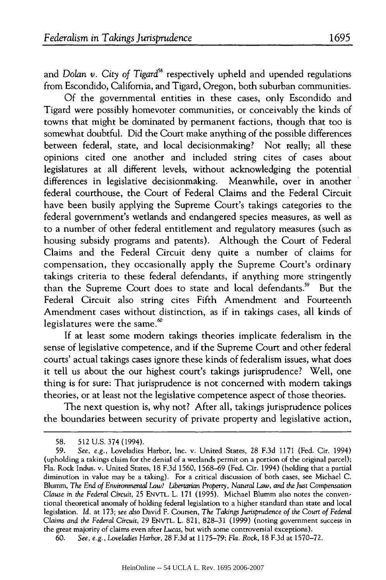and Dolan *v*. City of Tigard<sup>58</sup> respectively upheld and upended regulations from Escondido, California, and Tigard, Oregon, both suburban communities.

Of the governmental entities in these cases, only Escondido and Tigard were possibly homevoter communities, or conceivably the kinds of towns that might be dominated by permanent factions, though that too is somewhat doubtful. Did the Court make anything of the possible differences between federal, state, and local decisionmaking? Not really; all these opinions cited one another and included string cites of cases about legislatures at all different levels, without acknowledging the potential differences in legislative decisionmaking. Meanwhile, over in another federal courthouse, the Court of Federal Claims and the Federal Circuit have been busily applying the Supreme Court's takings categories to the federal government's wetlands and endangered species measures, as well as to a number of other federal entitlement and regulatory measures (such as housing subsidy programs and patents). Although the Court of Federal Claims and the Federal Circuit deny quite a number of claims for compensation, they occasionally apply the Supreme Court's ordinary takings criteria to these federal defendants, if anything more stringently than the Supreme Court does to state and local defendants.<sup>59</sup> But the Federal Circuit also string cites Fifth Amendment and Fourteenth Amendment cases without distinction, as if in takings cases, all kinds of legislatures were the same.<sup>60</sup>

If at least some modem takings theories implicate federalism in the sense of legislative competence, and if the Supreme Court and other federal courts' actual takings cases ignore these kinds of federalism issues, what does it tell us about the our highest court's takings jurisprudence? Well, one thing is for sure: That jurisprudence is not concerned with modem takings theories, or at least not the legislative competence aspect of those theories.

The next question is, why not? After all, takings jurisprudence polices the boundaries between security of private property and legislative action,

<sup>58. 512</sup> U.S. 374 (1994).

<sup>59.</sup> *See, e.g.,* Loveladies Harbor, Inc. v. United States, 28 F.3d 1171 (Fed. Cir. 1994) (upholding a takings claim for the denial of a wetlands permit on a portion of the original parcel); Fla. Rock Indus. v. United States, 18 F.3d 1560, 1568-69 (Fed. Cit. 1994) (holding that a partial diminution in value may be a taking). For a critical discussion of both cases, see Michael C. Blumm, *The End of Environmental Law? Libertarian Property, Natural Law, and the Just* Compensation Clause in *the Federal* Circuit, 25 ENVTL. L. 171 (1995). Michael Blumm also notes the conventional theoretical anomaly of holding federal legislation to a higher standard than state and local legislation. *Id.* at 173; *see also* David F. Coursen, *The Takings Jurisprudence of the* Court *of Federal* Claims and *the* Federal Circuit, 29 ENVTL. L. 821, 828-31 (1999) (noting government success in the great majority of claims even after *Lucas,* but with some controversial exceptions).

<sup>60.</sup> *See, e.g., Loveladies Harbor,* 28 F.3d at 1175-79; Fla. *Rock,* 18 F.3d at 1570-72.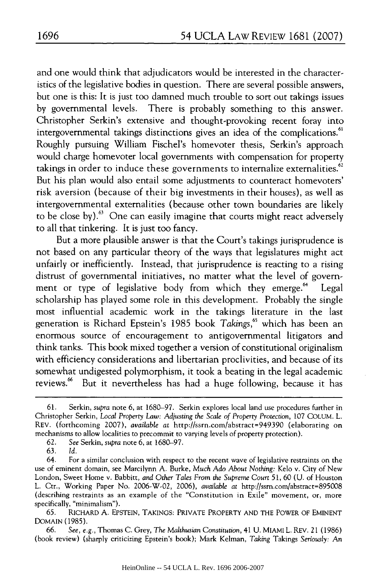and one would think that adjudicators would be interested in the characteristics of the legislative bodies in question. There are several possible answers, but one is this: It is just too damned much trouble to sort out takings issues by governmental levels. There is probably something to this answer. Christopher Serkin's extensive and thought-provoking recent foray into intergovernmental takings distinctions gives an idea of the complications.<sup>61</sup> Roughly pursuing William Fischel's homevoter thesis, Serkin's approach would charge homevoter local governments with compensation for property takings in order to induce these governments to internalize externalities. $62$ But his plan would also entail some adjustments to counteract homevoters' risk aversion (because of their big investments in their houses), as well as intergovernmental externalities (because other town boundaries are likely to be close by).<sup>63</sup> One can easily imagine that courts might react adversely to all that tinkering. It is just too fancy.

But a more plausible answer is that the Court's takings jurisprudence is not based on any particular theory of the ways that legislatures might act unfairly or inefficiently. Instead, that jurisprudence is reacting to a rising distrust of governmental initiatives, no matter what the level of government or type of legislative body from which they emerge.<sup>64</sup> Legal scholarship has played some role in this development. Probably the single most influential academic work in the takings literature in the last generation is Richard Epstein's 1985 book *Takings*,<sup>65</sup> which has been an enormous source of encouragement to antigovernmental litigators and think tanks. This book mixed together a version of constitutional originalism with efficiency considerations and libertarian proclivities, and because of its somewhat undigested polymorphism, it took a beating in the legal academic reviews.<sup>66</sup> But it nevertheless has had a huge following, because it has

<sup>61.</sup> Serkin, supra note 6, at 1680-97. Serkin explores local land use procedures further in Christopher Serkin, *Local Property Law: Adjusting the Scale of Property* Protection, 107 COLUM. L. REV. (forthcoming 2007), *available at* http://ssrn.com/abstract=949390 (elaborating on mechanisms to allow localities to precommit to varying levels of property protection).

<sup>62.</sup> *See* Serkin, *supra* note 6, at 1680-97.

<sup>63.</sup> *Id.*

<sup>64.</sup> For a similar conclusion with respect to the recent wave of legislative restraints on the use of eminent domain, see Marcilynn A. Burke, *Much* Ado *About* Nothing: Kelo v. City of New London, Sweet Home v. Babbitt, and *Other Tales From the Supreme* Court 51, 60 (U. of Houston L. Ctr., Working Paper No. 2006-W-02, 2006), *available* at http://ssm.com/abstract=895008 (describing restraints as an example of the "Constitution in Exile" movement, or, more specifically, "minimalism").

<sup>65.</sup> RICHARD A. EPSTEIN, TAKINGS: PRIVATE PROPERTY AND THE POWER OF EMINENT DOMAIN (1985).

<sup>66.</sup> *See, e.g.,* Thomas C. Grey, *The* Malthusian Constitution, 41 U. MIAMI L. REV. 21(1986) (book review) (sharply criticizing Epstein's book); Mark Kelman, Taking Takings Seriously: An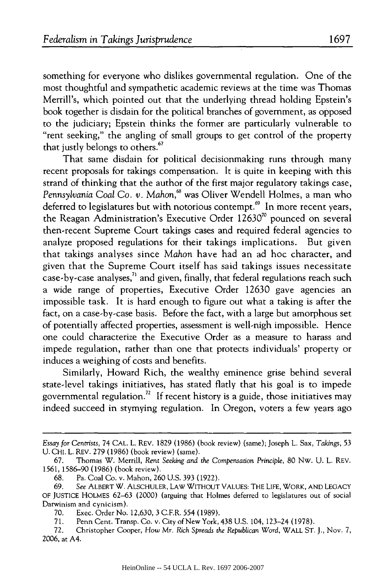something for everyone who dislikes governmental regulation. One of the most thoughtful and sympathetic academic reviews at the time was Thomas Merrill's, which pointed out that the underlying thread holding Epstein's book together is disdain for the political branches of government, as opposed to the judiciary; Epstein thinks the former are particularly vulnerable to "rent seeking," the angling of small groups to get control of the property that justly belongs to others.<sup>67</sup>

That same disdain for political decisionmaking runs through many recent proposals for takings compensation. It is quite in keeping with this strand of thinking that the author of the first major regulatory takings case, *Pennsylvania Coal* Co. *v. Mahon,6 "* was Oliver Wendell Holmes, a man who deferred to legislatures but with notorious contempt.<sup>69</sup> In more recent years, the Reagan Administration's Executive Order  $12630<sup>70</sup>$  pounced on several then-recent Supreme Court takings cases and required federal agencies to analyze proposed regulations for their takings implications. But given that takings analyses since *Mahon* have had an ad hoc character, and given that the Supreme Court itself has said takings issues necessitate case-by-case analyses, $^{71}$  and given, finally, that federal regulations reach such a wide range of properties, Executive Order 12630 gave agencies an impossible task. It is hard enough to figure out what a taking is after the fact, on a case-by-case basis. Before the fact, with a large but amorphous set of potentially affected properties, assessment is well-nigh impossible. Hence one could characterize the Executive Order as a measure to harass and impede regulation, rather than one that protects individuals' property or induces a weighing of costs and benefits.

Similarly, Howard Rich, the wealthy eminence grise behind several state-level takings initiatives, has stated flatly that his goal is to impede governmental regulation.<sup>72</sup> If recent history is a guide, those initiatives may indeed succeed in stymying regulation. In Oregon, voters a few years ago

*Essay for* Centrists, 74 CAL. L. REV. 1829 (1986) (book review) (same); Joseph L. Sax, *Takings,* 53 U. CHI. L. REV. 279 (1986) (book review) (same).

<sup>67.</sup> Thomas W. Merrill, *Rent Seeking and the Compensation Principle,* 80 Nw. U. L. REV. 1561, 1586-90 (1986) (book review).

<sup>68.</sup> Pa. Coal Co. v. Mahon, 260 U.S. 393 (1922).

<sup>69.</sup> *See* ALBERT W. ALSCHULER, LAW WITHOUT VALUES: THE LIFE, WORK, AND LEGACY OF JUSTICE HOLMES 62-63 (2000) (arguing that Holmes deferred to legislatures out of social Darwinism and cynicism).

<sup>70.</sup> Exec. Order No. 12,630, 3 C.F.R. 554 (1989).

<sup>71.</sup> Penn Cent. Transp. Co. v. City of New York, 438 U.S. 104, 123-24 (1978).

**<sup>72.</sup>** Christopher Cooper, *How* Mr. *Rich Spreads the Republican* Word, WALL ST. **J.,** Nov. 7, 2006, at A4.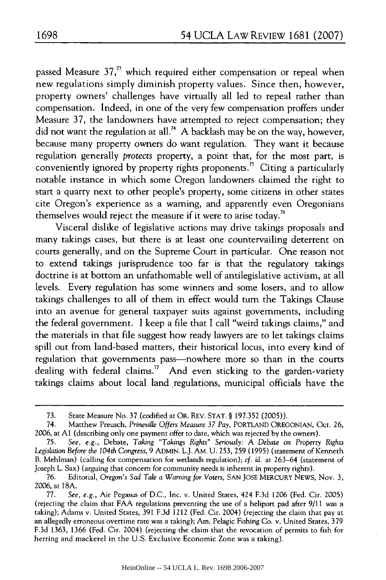passed Measure  $37<sub>1</sub><sup>73</sup>$  which required either compensation or repeal when new regulations simply diminish property values. Since then, however, property owners' challenges have virtually all led to repeal rather than compensation. Indeed, in one of the very few compensation proffers under Measure 37, the landowners have attempted to reject compensation; they did not want the regulation at **all.7 '** A backlash may be on the way, however, because many property owners do want regulation. They want it because regulation generally *protects* property, a point that, for the most part, is conveniently ignored by property rights proponents.<sup> $3$ </sup> Citing a particularly notable instance in which some Oregon landowners claimed the right to start a quarry next to other people's property, some citizens in other states cite Oregon's experience as a warning, and apparently even Oregonians themselves would reject the measure if it were to arise today.<sup>76</sup>

Visceral dislike of legislative actions may drive takings proposals and many takings cases, but there is at least one countervailing deterrent on courts generally, and on the Supreme Court in particular. One reason not to extend takings jurisprudence too far is that the regulatory takings doctrine is at bottom an unfathomable well of antilegislative activism, at all levels. Every regulation has some winners and some losers, and to allow takings challenges to all of them in effect would turn the Takings Clause into an avenue for general taxpayer suits against governments, including the federal government. I keep a file that I call "weird takings claims," and the materials in that file suggest how ready lawyers are to let takings claims spill out from land-based matters, their historical locus, into every kind of regulation that governments pass-nowhere more so than in the courts dealing with federal claims.<sup>77</sup> And even sticking to the garden-variety takings claims about local land regulations, municipal officials have the

<sup>73.</sup> State Measure No. 37 (codified at OR. REV. STAT. § 197.352 (2005)).

<sup>74.</sup> Matthew Preusch, *Prineville Offers Measure 37 Pay,* PORTLAND OREGONIAN, Oct. 26, 2006, at **Al** (describing only one payment offer to date, which was rejected by the owners).

<sup>75.</sup> *See, e.g.,* Debate, *Taking "Takings Rights" Seriously:* A *Debate* on *Property Rights Legislation Before the 104th* Congress, 9 ADMIN. L.J. AM. U. 253, 259 (1995) (statement of Kenneth B. Mehlman) (calling for compensation for wetlands regulation); *cf.* id. at 263-64 (statement of Joseph L. Sax) (arguing that concern for community needs is inherent in property rights).

<sup>76.</sup> Editorial, *Oregon's Sad Tale a* Warning *for Voters,* SAN JOSE MERCURY NEWS, Nov. 3, 2006, at 18A.

<sup>77.</sup> *See, e.g.,* Air Pegasus of D.C., Inc. v. United States, 424 F.3d 1206 (Fed. Cir. 2005) (rejecting the claim that FAA regulations preventing the use of a heliport pad after 9/11 was a taking); Adams v. United States, 391 F.3d 1212 (Fed. Cir. 2004) (rejecting the claim that pay at an allegedly erroneous overtime rate was a taking); Am. Pelagic Fishing Co. v. United States, 379 F.3d 1363, 1366 (Fed. Cir. 2004) (rejecting the claim that the revocation of permits to fish for herring and mackerel in the U.S. Exclusive Economic Zone was a taking).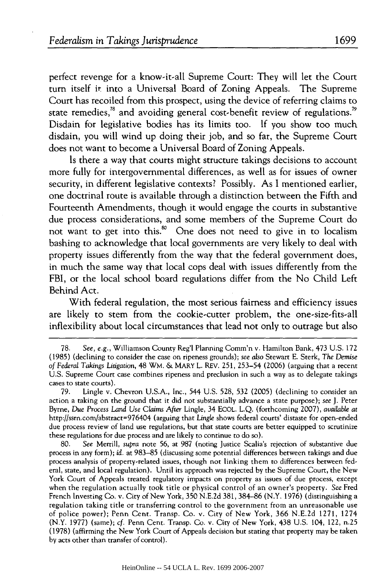perfect revenge for a know-it-all Supreme Court: They will let the Court turn itself it into a Universal Board of Zoning Appeals. The Supreme Court has recoiled from this prospect, using the device of referring claims to state remedies, $^{78}$  and avoiding general cost-benefit review of regulations.<sup>79</sup> Disdain for legislative bodies has its limits too. If you show too much disdain, you will wind up doing their job, and so far, the Supreme Court does not want to become a Universal Board of Zoning Appeals.

Is there a way that courts might structure takings decisions to account more fully for intergovernmental differences, as well as for issues of owner security, in different legislative contexts? Possibly. As I mentioned earlier, one doctrinal route is available through a distinction between the Fifth and Fourteenth Amendments, though it would engage the courts in substantive due process considerations, and some members of the Supreme Court do not want to get into this.<sup>80</sup> One does not need to give in to localism bashing to acknowledge that local governments are very likely to deal with property issues differently from the way that the federal government does, in much the same way that local cops deal with issues differently from the FBI, or the local school board regulations differ from the No Child Left Behind Act.

With federal regulation, the most serious fairness and efficiency issues are likely to stem from the cookie-cutter problem, the one-size-fits-all inflexibility about local circumstances that lead not only to outrage but also

<sup>78.</sup> *See, e.g.,* Williamson County Reg'l Planning Comm'n v. Hamilton Bank, 473 U.S. 172 (1985) (declining to consider the case on ripeness grounds); *see also* Stewart E. Sterk, *The Demise of Federal Takings Litigation,* 48 WM. & MARY L. REV. 251, 253-54 (2006) (arguing that a recent U.S. Supreme Court case combines ripeness and preclusion in such a way as to delegate takings cases to state courts).

<sup>79.</sup> Lingle v. Chevron U.S.A., Inc., 544 U.S. 528, 532 (2005) (declining to consider an action a taking on the ground that it did not substantially advance a state purpose); *see* J. Peter Byrne, *Due* Process Land *Use Claims* After Lingle, 34 ECOL. L.Q. (forthcoming 2007), *available at* http://ssrn.com/abstract=976404 (arguing that *Lingle* shows federal courts' distaste for open-ended due process review of land use regulations, but that state courts are better equipped to scrutinize these regulations for due process and are likely to continue to do so).

<sup>80.</sup> *See* Merrill, *supra* note 56, at 987 (noting Justice Scalia's rejection of substantive due process in any form); *id.* at 983-85 (discussing some potential differences between takings and due process analysis of property-related issues, though not linking them to differences between federal, state, and local regulation). Until its approach was rejected by the Supreme Court, the New York Court of Appeals treated regulatory impacts on property as issues of due process, except when the regulation actually took title or physical control of an owner's property. *See* Fred French Investing Co. v. City of New York, 350 N.E.2d 381, 384-86 (N.Y. 1976) (distinguishing a regulation taking title or transferring control to the government from an unreasonable use of police power); Penn Cent. Transp. Co. v. City of New York, 366 N.E.2d 1271, 1274 (N.Y. 1977) (same); cf. Penn Cent. Transp. Co. v. City of New York, 438 U.S. 104, 122, n.25 (1978) (affirming the New York Court of Appeals decision but stating that property may be taken by acts other than transfer of control).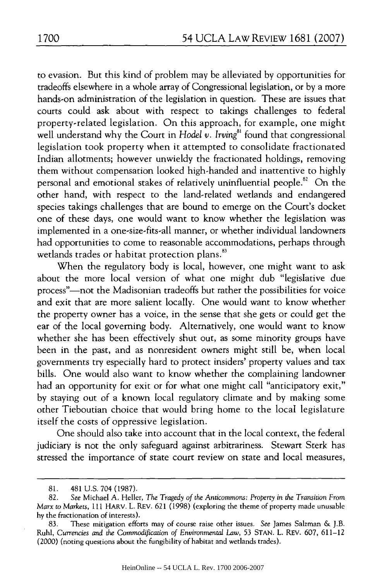to evasion. But this kind of problem may be alleviated by opportunities for tradeoffs elsewhere in a whole array of Congressional legislation, or by a more hands-on administration of the legislation in question. These are issues that courts could ask about with respect to takings challenges to federal property-related legislation. On this approach, for example, one might well understand why the Court in *Hodel v. Irving*<sup>81</sup> found that congressional legislation took property when it attempted to consolidate fractionated Indian allotments; however unwieldy the fractionated holdings, removing them without compensation looked high-handed and inattentive to highly personal and emotional stakes of relatively uninfluential people.<sup>82</sup> On the other hand, with respect to the land-related wetlands and endangered species takings challenges that are bound to emerge on the Court's docket one of these days, one would want to know whether the legislation was implemented in a one-size-fits-all manner, or whether individual landowners had opportunities to come to reasonable accommodations, perhaps through wetlands trades or habitat protection plans.<sup>83</sup>

When the regulatory body is local, however, one might want to ask about the more local version of what one might dub "legislative due process"-not the Madisonian tradeoffs but rather the possibilities for voice and exit that are more salient locally. One would want to know whether the property owner has a voice, in the sense that she gets or could get the ear of the local governing body. Alternatively, one would want to know whether she has been effectively shut out, as some minority groups have been in the past, and as nonresident owners might still be, when local governments try especially hard to protect insiders' property values and tax bills. One would also want to know whether the complaining landowner had an opportunity for exit or for what one might call "anticipatory exit," by staying out of a known local regulatory climate and by making some other Tieboutian choice that would bring home to the local legislature itself the costs of oppressive legislation.

One should also take into account that in the local context, the federal judiciary is not the only safeguard against arbitrariness. Stewart Sterk has stressed the importance of state court review on state and local measures,

<sup>81. 481</sup> U.S. 704 (1987).

<sup>82.</sup> *See* Michael A. Heller, *The Tragedy of the Anticommons: Property in the Transition From Marx to Markets,* 111 HARV. L. REV. 621 (1998) (exploring the theme of property made unusable by the fractionation of interests).

<sup>83.</sup> These mitigation efforts may of course raise other issues. *See* James Salzman & J.B. Ruhl, Currencies and the Commodification of Environmental Law, 53 STAN. L. REV. 607, 611-12 (2000) (noting questions about the fungibility of habitat and wetlands trades).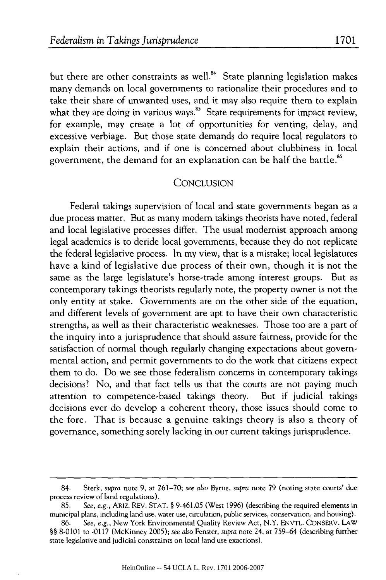but there are other constraints as well. $^{84}$  State planning legislation makes many demands on local governments to rationalize their procedures and to take their share of unwanted uses, and it may also require them to explain what they are doing in various ways. $^{\text{85}}$  State requirements for impact review for example, may create a lot of opportunities for venting, delay, and excessive verbiage. But those state demands do require local regulators to explain their actions, and if one is concerned about clubbiness in local government, the demand for an explanation can be half the battle.<sup>86</sup>

#### **CONCLUSION**

Federal takings supervision of local and state governments began as a due process matter. But as many modem takings theorists have noted, federal and local legislative processes differ. The usual modernist approach among legal academics is to deride local governments, because they do not replicate the federal legislative process. In my view, that is a mistake; local legislatures have a kind of legislative due process of their own, though it is not the same as the large legislature's horse-trade among interest groups. But as contemporary takings theorists regularly note, the property owner is not the only entity at stake. Governments are on the other side of the equation, and different levels of government are apt to have their own characteristic strengths, as well as their characteristic weaknesses. Those too are a part of the inquiry into a jurisprudence that should assure fairness, provide for the satisfaction of normal though regularly changing expectations about governmental action, and permit governments to do the work that citizens expect them to do. Do we see those federalism concerns in contemporary takings decisions? No, and that fact tells us that the courts are not paying much attention to competence-based takings theory. But if judicial takings decisions ever do develop a coherent theory, those issues should come to the fore. That is because a genuine takings theory is also a theory of governance, something sorely lacking in our current takings jurisprudence.

<sup>84.</sup> Sterk, *supra* note 9, at 261-70; *see also* Byrne, *supra* note 79 (noting state courts' due process review of land regulations).

<sup>85.</sup> *See, e.g.,* ARIZ. REV. STAT. § 9-461.05 (West 1996) (describing the required elements in municipal plans, including land use, water use, circulation, public services, conservation, and housing).

<sup>86.</sup> *See, e.g.,* New York Environmental Quality Review Act, N.Y. ENVTL. CONSERV. LAW §§ 8-0101 to -0117 (McKinney 2005); *see also* Fenster, *supra* note 24, at 759-64 (describing further state legislative and judicial constraints on local land use exactions).